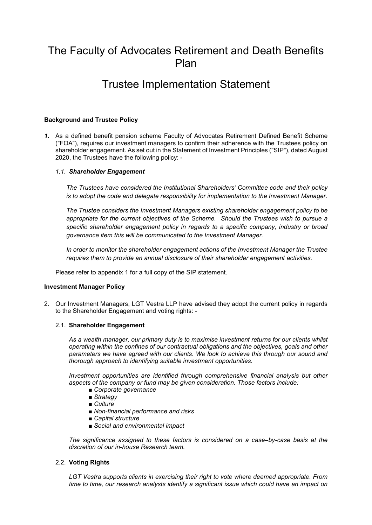# The Faculty of Advocates Retirement and Death Benefits Plan

## Trustee Implementation Statement

## Background and Trustee Policy

1. As a defined benefit pension scheme Faculty of Advocates Retirement Defined Benefit Scheme ("FOA"), requires our investment managers to confirm their adherence with the Trustees policy on shareholder engagement. As set out in the Statement of Investment Principles ("SIP"), dated August 2020, the Trustees have the following policy: -

## 1.1. Shareholder Engagement

The Trustees have considered the Institutional Shareholders' Committee code and their policy is to adopt the code and delegate responsibility for implementation to the Investment Manager.

The Trustee considers the Investment Managers existing shareholder engagement policy to be appropriate for the current objectives of the Scheme. Should the Trustees wish to pursue a specific shareholder engagement policy in regards to a specific company, industry or broad governance item this will be communicated to the Investment Manager.

In order to monitor the shareholder engagement actions of the Investment Manager the Trustee requires them to provide an annual disclosure of their shareholder engagement activities.

Please refer to appendix 1 for a full copy of the SIP statement.

## Investment Manager Policy

2. Our Investment Managers, LGT Vestra LLP have advised they adopt the current policy in regards to the Shareholder Engagement and voting rights: -

#### 2.1. Shareholder Engagement

As a wealth manager, our primary duty is to maximise investment returns for our clients whilst operating within the confines of our contractual obligations and the objectives, goals and other parameters we have agreed with our clients. We look to achieve this through our sound and thorough approach to identifying suitable investment opportunities.

Investment opportunities are identified through comprehensive financial analysis but other aspects of the company or fund may be given consideration. Those factors include:

- Corporate governance
- Strategy
- Culture
- Non-financial performance and risks
- Capital structure
- Social and environmental impact

The significance assigned to these factors is considered on a case–by-case basis at the discretion of our in-house Research team.

## 2.2. Voting Rights

LGT Vestra supports clients in exercising their right to vote where deemed appropriate. From time to time, our research analysts identify a significant issue which could have an impact on